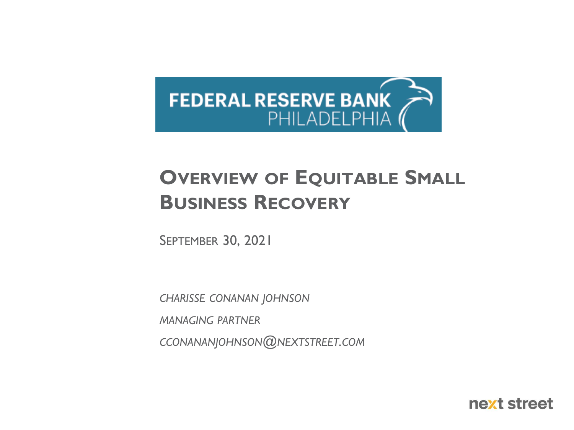

### **OVERVIEW OF EQUITABLE SMALL BUSINESS RECOVERY**

SEPTEMBER 30, 2021

*CHARISSE CONANAN JOHNSON*

*MANAGING PARTNER*

*CCONANANJOHNSON@NEXTSTREET.COM*

next street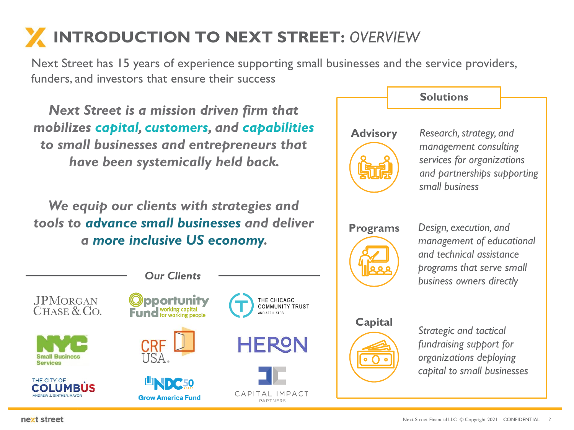# **INTRODUCTION TO NEXT STREET:** *OVERVIEW*

Next Street has 15 years of experience supporting small businesses and the service providers, funders, and investors that ensure their success

*Next Street is a mission driven firm that mobilizes capital, customers, and capabilities to small businesses and entrepreneurs that have been systemically held back.* 

*We equip our clients with strategies and tools to advance small businesses and deliver a more inclusive US economy.* 



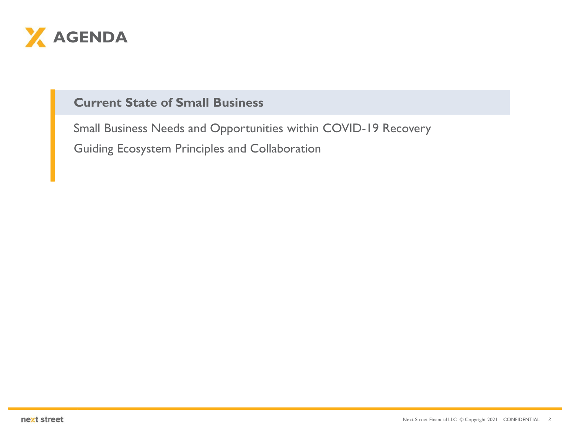<span id="page-2-0"></span>

#### **Current State of Small Business**

[Small Business Needs and Opportunities within COVID-19 Recovery](#page-8-0) [Guiding Ecosystem Principles and Collaboration](#page-13-0)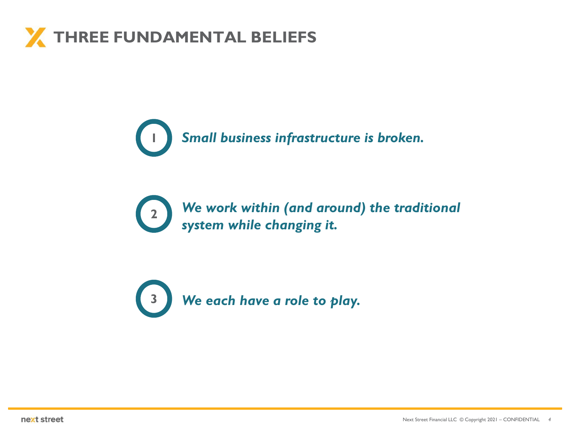



**<sup>2</sup>** *We work within (and around) the traditional system while changing it.* 

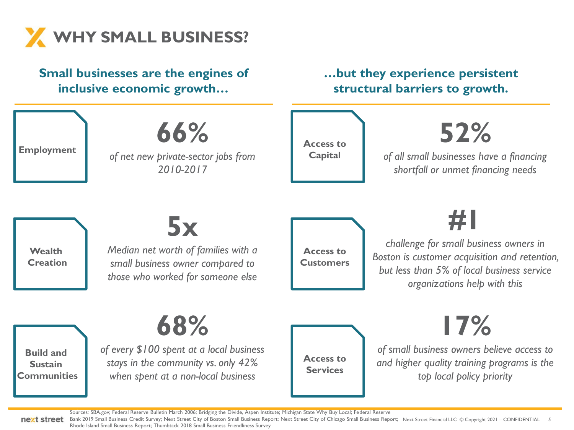

#### **Small businesses are the engines of inclusive economic growth… …but they experience persistent structural barriers to growth. Employment Wealth Creation Build and Sustain Communities 66%** *of net new private-sector jobs from 2010-2017* **5x** *Median net worth of families with a small business owner compared to those who worked for someone else* **68%** *of every \$100 spent at a local business stays in the community vs. only 42% when spent at a non-local business* **Access to Capital Access to Customers Access to Services 52%** *of all small businesses have a financing shortfall or unmet financing needs* **#1** *challenge for small business owners in Boston is customer acquisition and retention, but less than 5% of local business service organizations help with this* **17%** *of small business owners believe access to and higher quality training programs is the top local policy priority*

Sources: SBA.gov; Federal Reserve Bulletin March 2006; Bridging the Divide, Aspen Institute; Michigan State Why Buy Local; Federal Reserve

Bank 2019 Small Business Credit Survey; Next Street City of Boston Small Business Report; Next Street City of Chicago Small Business Report; Next Street Financial LLC © Copyright 2021 – CONFIDENTIAL 5 Rhode Island Small Business Report; Thumbtack 2018 Small Business Friendliness Survey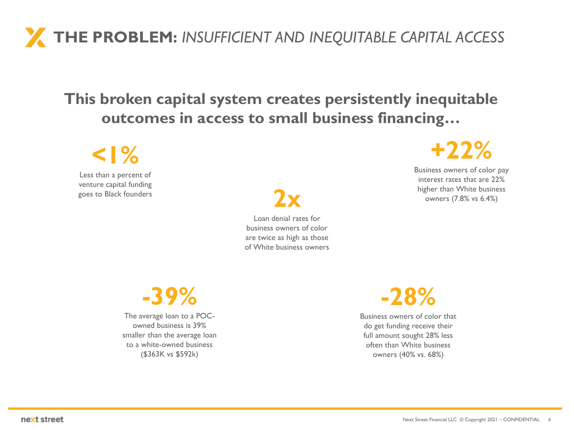### **THE PROBLEM:** *INSUFFICIENT AND INEQUITABLE CAPITAL ACCESS*

#### **This broken capital system creates persistently inequitable outcomes in access to small business financing…**

### **<1%**

Less than a percent of venture capital funding

goes to Black founders **2x** Loan denial rates for business owners of color are twice as high as those of White business owners



Business owners of color pay interest rates that are 22% higher than White business owners (7.8% vs 6.4%)

**-39%**

The average loan to a POCowned business is 39% smaller than the average loan to a white-owned business (\$363K vs \$592k)



Business owners of color that do get funding receive their full amount sought 28% less often than White business owners (40% vs. 68%)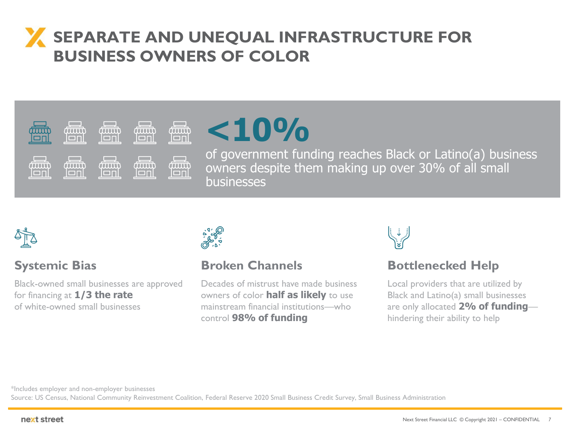#### **SEPARATE AND UNEQUAL INFRASTRUCTURE FOR BUSINESS OWNERS OF COLOR**

#### **Contract Contract**  $\Box$ duudo tuuri  $(\overline{111111})$ *tuur*i **TITLE** ičñi lonl lonl lon  $\Box$  $\Box$ **Contract Contract Contract** duun *imut* ,,,,,,, *imut* **TTTTTT** löril loni lonl loni ION



of government funding reaches Black or Latino(a) business owners despite them making up over 30% of all small businesses



#### **Systemic Bias**

Black-owned small businesses are approved for financing at **1/3 the rate**  of white-owned small businesses



#### **Broken Channels**

Decades of mistrust have made business owners of color **half as likely** to use mainstream financial institutions—who control **98% of funding**



#### **Bottlenecked Help**

Local providers that are utilized by Black and Latino(a) small businesses are only allocated **2% of funding** hindering their ability to help

\*Includes employer and non-employer businesses

Source: US Census, National Community Reinvestment Coalition, Federal Reserve 2020 Small Business Credit Survey, Small Business Administration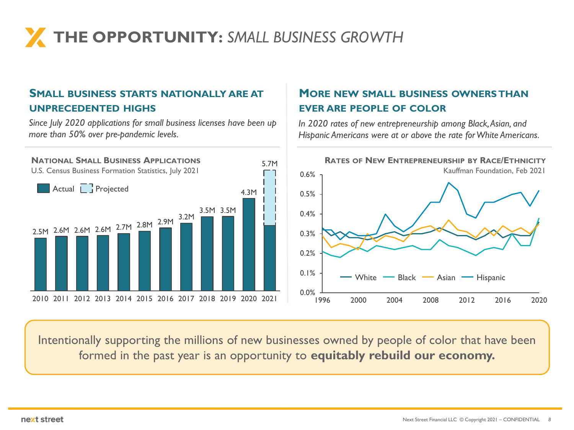# **THE OPPORTUNITY:** *SMALL BUSINESS GROWTH*

#### **SMALL BUSINESS STARTS NATIONALLY ARE AT UNPRECEDENTED HIGHS**

*Since July 2020 applications for small business licenses have been up more than 50% over pre-pandemic levels.* 

#### **MORE NEW SMALL BUSINESS OWNERS THAN EVER ARE PEOPLE OF COLOR**

*In 2020 rates of new entrepreneurship among Black, Asian, and Hispanic Americans were at or above the rate for White Americans.*



Intentionally supporting the millions of new businesses owned by people of color that have been formed in the past year is an opportunity to **equitably rebuild our economy.**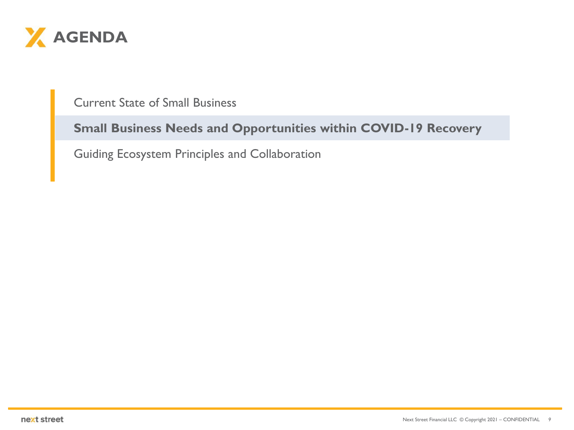<span id="page-8-0"></span>

[Current State of Small Business](#page-2-0)

#### **Small Business Needs and Opportunities within COVID-19 Recovery**

[Guiding Ecosystem Principles and Collaboration](#page-13-0)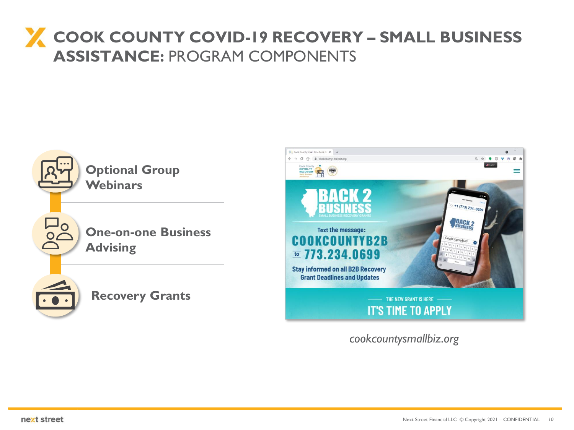#### **COOK COUNTY COVID-19 RECOVERY – SMALL BUSINESS ASSISTANCE:** PROGRAM COMPONENTS



*cookcountysmallbiz.org*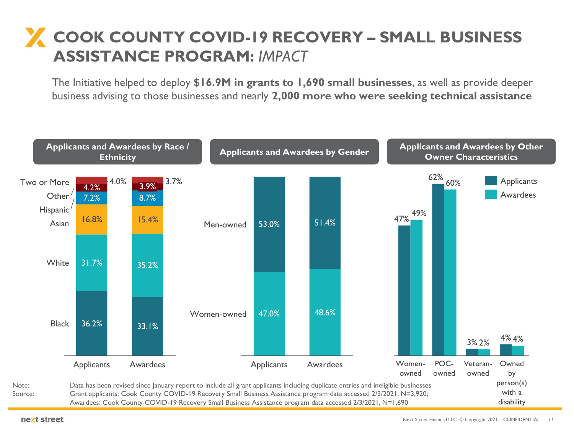#### **COOK COUNTY COVID-19 RECOVERY – SMALL BUSINESS ASSISTANCE PROGRAM:** *IMPACT*

The Initiative helped to deploy **\$16.9M in grants to 1,690 small businesses**, as well as provide deeper business advising to those businesses and nearly **2,000 more who were seeking technical assistance**

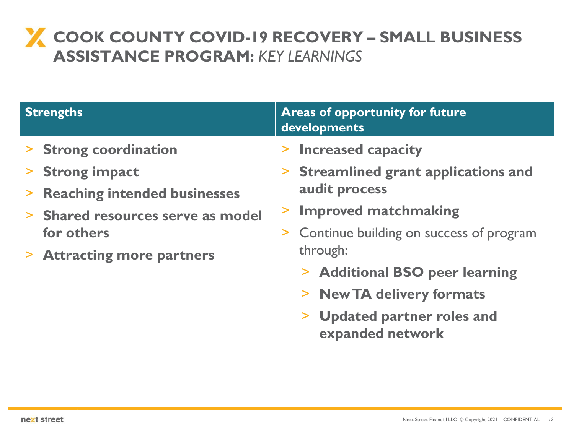#### **COOK COUNTY COVID-19 RECOVERY – SMALL BUSINESS ASSISTANCE PROGRAM:** *KEY LEARNINGS*

| <b>Areas of opportunity for future</b><br>developments                                                                                                                                                                                                                                       |  |  |  |
|----------------------------------------------------------------------------------------------------------------------------------------------------------------------------------------------------------------------------------------------------------------------------------------------|--|--|--|
| > Increased capacity<br>> Streamlined grant applications and<br>audit process<br><b>Improved matchmaking</b><br>> Continue building on success of program<br>through:<br>> Additional BSO peer learning<br>> New TA delivery formats<br><b>Updated partner roles and</b><br>expanded network |  |  |  |
|                                                                                                                                                                                                                                                                                              |  |  |  |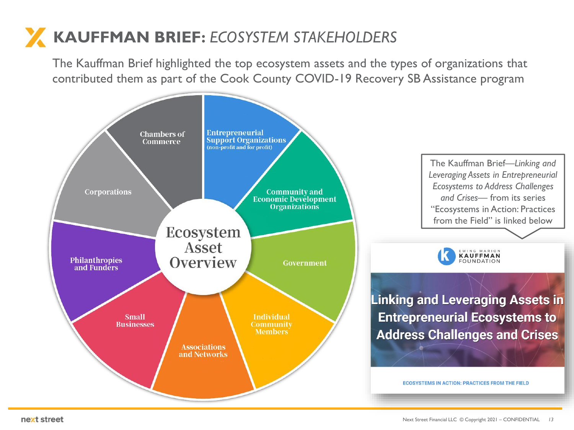## **KAUFFMAN BRIEF:** *ECOSYSTEM STAKEHOLDERS*

The Kauffman Brief highlighted the top ecosystem assets and the types of organizations that contributed them as part of the Cook County COVID-19 Recovery SB Assistance program

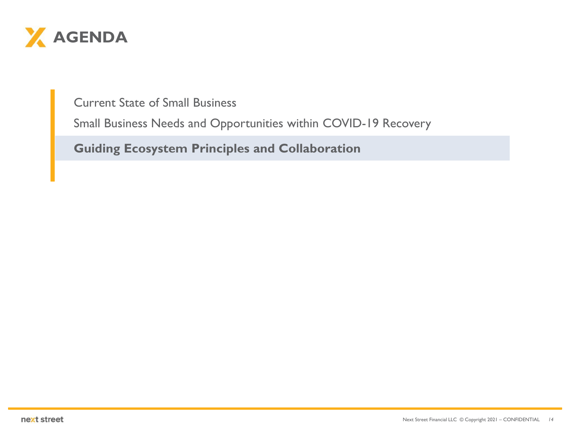<span id="page-13-0"></span>

Current State of Small Business

[Small Business Needs and Opportunities within COVID-19 Recovery](#page-2-0)

**Guiding Ecosystem Principles and Collaboration**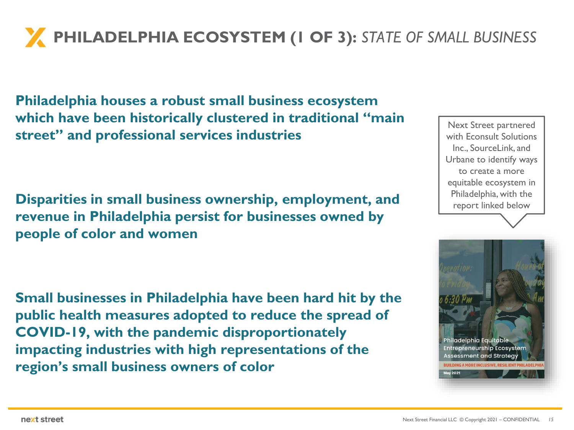**PHILADELPHIA ECOSYSTEM (1 OF 3):** *STATE OF SMALL BUSINESS* 

**Philadelphia houses a robust small business ecosystem which have been historically clustered in traditional "main street" and professional services industries**

**Disparities in small business ownership, employment, and revenue in Philadelphia persist for businesses owned by people of color and women**

**Small businesses in Philadelphia have been hard hit by the public health measures adopted to reduce the spread of COVID-19, with the pandemic disproportionately impacting industries with high representations of the region's small business owners of color**



Next Street partnered

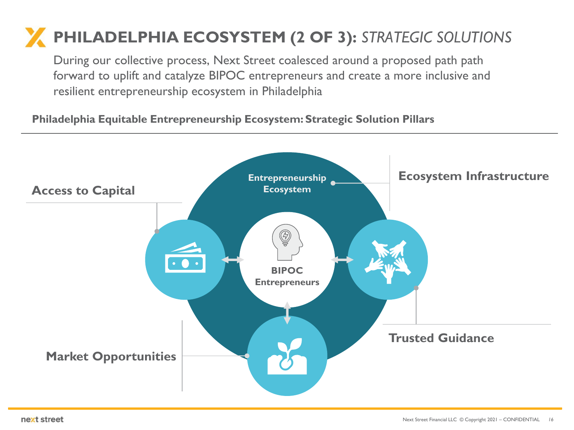### **PHILADELPHIA ECOSYSTEM (2 OF 3):** *STRATEGIC SOLUTIONS*

During our collective process, Next Street coalesced around a proposed path path forward to uplift and catalyze BIPOC entrepreneurs and create a more inclusive and resilient entrepreneurship ecosystem in Philadelphia

#### **Philadelphia Equitable Entrepreneurship Ecosystem: Strategic Solution Pillars**

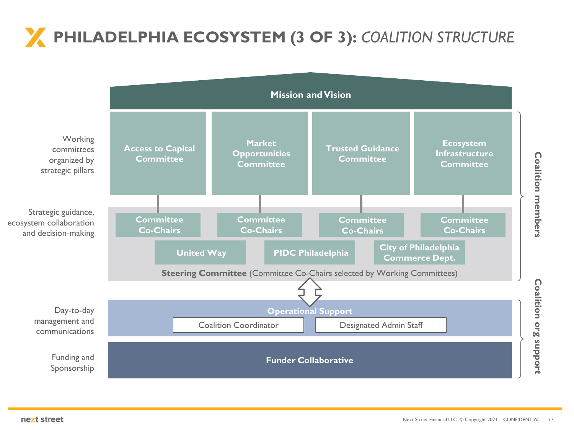# **PHILADELPHIA ECOSYSTEM (3 OF 3):** *COALITION STRUCTURE*



Coalition members **Coalition members**

> Coalition org support **Coalition org support**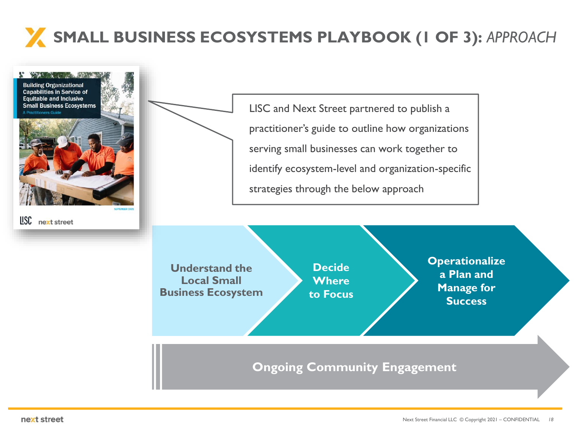# **SMALL BUSINESS ECOSYSTEMS PLAYBOOK (1 OF 3):** *APPROACH*

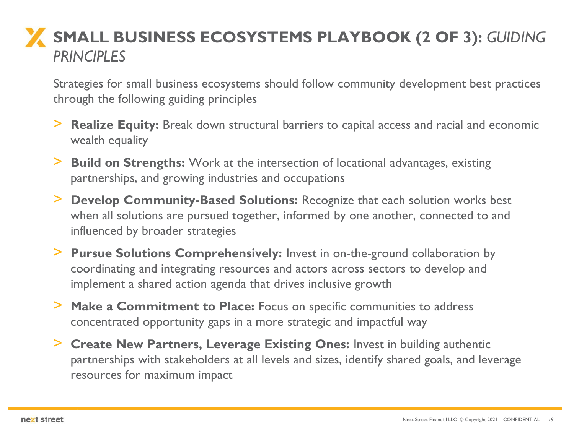### **SMALL BUSINESS ECOSYSTEMS PLAYBOOK (2 OF 3):** *GUIDING PRINCIPLES*

Strategies for small business ecosystems should follow community development best practices through the following guiding principles

- > **Realize Equity:** Break down structural barriers to capital access and racial and economic wealth equality
- > **Build on Strengths:** Work at the intersection of locational advantages, existing partnerships, and growing industries and occupations
- > **Develop Community-Based Solutions:** Recognize that each solution works best when all solutions are pursued together, informed by one another, connected to and influenced by broader strategies
- > **Pursue Solutions Comprehensively:** Invest in on-the-ground collaboration by coordinating and integrating resources and actors across sectors to develop and implement a shared action agenda that drives inclusive growth
- > **Make a Commitment to Place:** Focus on specific communities to address concentrated opportunity gaps in a more strategic and impactful way
- > **Create New Partners, Leverage Existing Ones:** Invest in building authentic partnerships with stakeholders at all levels and sizes, identify shared goals, and leverage resources for maximum impact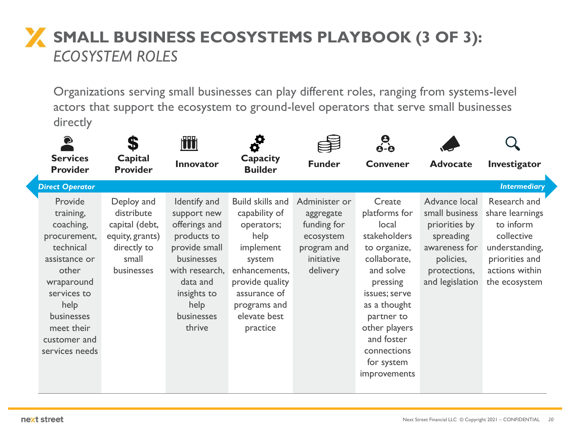### **X** SMALL BUSINESS ECOSYSTEMS PLAYBOOK (3 OF 3): *ECOSYSTEM ROLES*

Organizations serving small businesses can play different roles, ranging from systems-level actors that support the ecosystem to ground-level operators that serve small businesses directly

| $\bullet$<br><b>Services</b><br><b>Provider</b>                                                                                                                                             | Capital<br><b>Provider</b>                                                                          | <b>TT</b><br><b>Innovator</b>                                                                                                                                           | O<br>Capacity<br><b>Builder</b>                                                                                                                                                | <b>Funder</b>                                                                                   | <u>ဓု</u><br>ဓ-ဓ<br><b>Convener</b>                                                                                                                                                                                                  | <b>Advocate</b>                                                                                                                | Investigator                                                                                                                      |
|---------------------------------------------------------------------------------------------------------------------------------------------------------------------------------------------|-----------------------------------------------------------------------------------------------------|-------------------------------------------------------------------------------------------------------------------------------------------------------------------------|--------------------------------------------------------------------------------------------------------------------------------------------------------------------------------|-------------------------------------------------------------------------------------------------|--------------------------------------------------------------------------------------------------------------------------------------------------------------------------------------------------------------------------------------|--------------------------------------------------------------------------------------------------------------------------------|-----------------------------------------------------------------------------------------------------------------------------------|
| <b>Direct Operator</b>                                                                                                                                                                      |                                                                                                     |                                                                                                                                                                         |                                                                                                                                                                                |                                                                                                 |                                                                                                                                                                                                                                      |                                                                                                                                | <b>Intermediary</b>                                                                                                               |
| Provide<br>training,<br>coaching,<br>procurement,<br>technical<br>assistance or<br>other<br>wraparound<br>services to<br>help<br>businesses<br>meet their<br>customer and<br>services needs | Deploy and<br>distribute<br>capital (debt,<br>equity, grants)<br>directly to<br>small<br>businesses | Identify and<br>support new<br>offerings and<br>products to<br>provide small<br>businesses<br>with research,<br>data and<br>insights to<br>help<br>businesses<br>thrive | Build skills and<br>capability of<br>operators;<br>help<br>implement<br>system<br>enhancements,<br>provide quality<br>assurance of<br>programs and<br>elevate best<br>practice | Administer or<br>aggregate<br>funding for<br>ecosystem<br>program and<br>initiative<br>delivery | Create<br>platforms for<br>local<br>stakeholders<br>to organize,<br>collaborate,<br>and solve<br>pressing<br>issues; serve<br>as a thought<br>partner to<br>other players<br>and foster<br>connections<br>for system<br>improvements | Advance local<br>small business<br>priorities by<br>spreading<br>awareness for<br>policies,<br>protections,<br>and legislation | Research and<br>share learnings<br>to inform<br>collective<br>understanding,<br>priorities and<br>actions within<br>the ecosystem |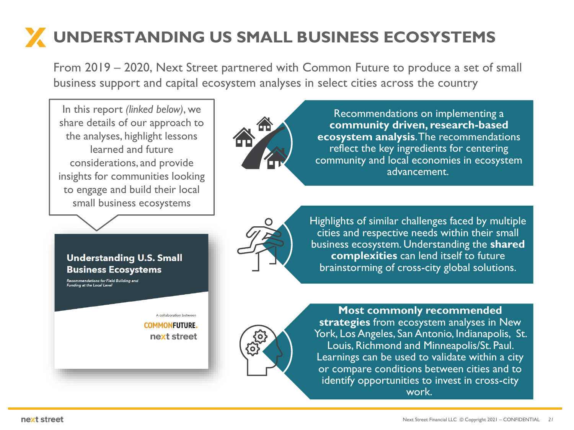# **UNDERSTANDING US SMALL BUSINESS ECOSYSTEMS**

From 2019 – 2020, Next Street partnered with Common Future to produce a set of small business support and capital ecosystem analyses in select cities across the country

In this report *(linked below)*, we share details of our approach to the analyses, highlight lessons learned and future considerations, and provide insights for communities looking to engage and build their local small business ecosystems



Recommendations on implementing a **community driven, research-based ecosystem analysis**. The recommendations reflect the key ingredients for centering community and local economies in ecosystem advancement.



Highlights of similar challenges faced by multiple cities and respective needs within their small business ecosystem. Understanding the **shared complexities** can lend itself to future brainstorming of cross-city global solutions.



**Most commonly recommended strategies** from ecosystem analyses in New York, Los Angeles, San Antonio, Indianapolis, St. Louis, Richmond and Minneapolis/St. Paul. Learnings can be used to validate within a city or compare conditions between cities and to identify opportunities to invest in cross-city work.

#### **Understanding U.S. Small Business Ecosystems**

Recommendations for Field Building and<br>Funding at the Local Level

A collaboration between **COMMONFUTURE.** next street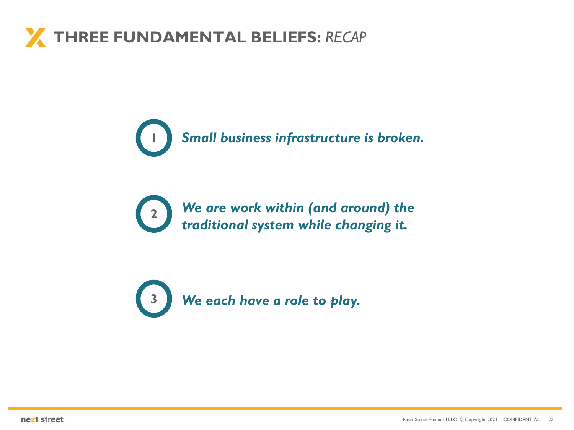### **THREE FUNDAMENTAL BELIEFS:** *RECAP*

**1** *Small business infrastructure is broken.* 

**<sup>2</sup>** *We are work within (and around) the traditional system while changing it.* 

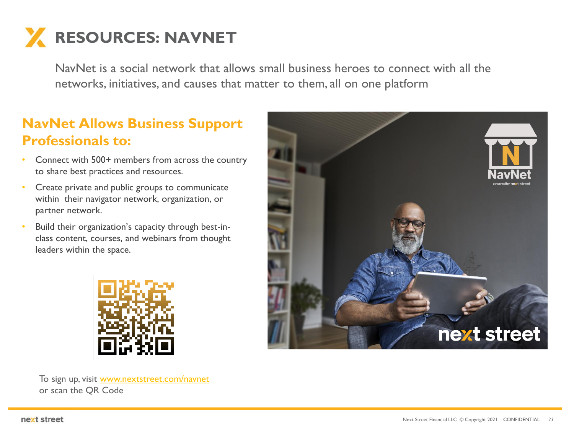# **RESOURCES: NAVNET**

NavNet is a social network that allows small business heroes to connect with all the networks, initiatives, and causes that matter to them, all on one platform

#### **NavNet Allows Business Support Professionals to:**

- Connect with 500+ members from across the country to share best practices and resources.
- Create private and public groups to communicate within their navigator network, organization, or partner network.
- Build their organization's capacity through best-inclass content, courses, and webinars from thought leaders within the space.



To sign up, visit [www.nextstreet.com/navnet](http://www.nextstreet.com/navnet) or scan the QR Code